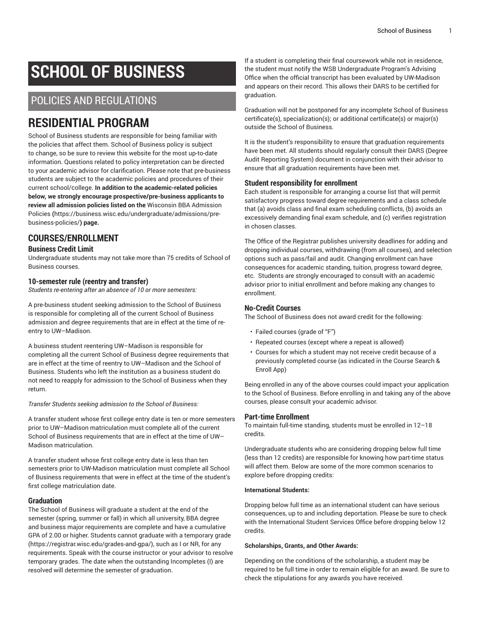# **SCHOOL OF BUSINESS**

## POLICIES AND REGULATIONS

## **RESIDENTIAL PROGRAM**

School of Business students are responsible for being familiar with the policies that affect them. School of Business policy is subject to change, so be sure to review this website for the most up-to-date information. Questions related to policy interpretation can be directed to your academic advisor for clarification. Please note that pre-business students are subject to the academic policies and procedures of their current school/college. **In addition to the academic-related policies below, we strongly encourage prospective/pre-business applicants to review all admission policies listed on the** [Wisconsin BBA Admission](https://business.wisc.edu/undergraduate/admissions/pre-business-policies/) [Policies](https://business.wisc.edu/undergraduate/admissions/pre-business-policies/) **(**[https://business.wisc.edu/undergraduate/admissions/pre](https://business.wisc.edu/undergraduate/admissions/pre-business-policies/)[business-policies/](https://business.wisc.edu/undergraduate/admissions/pre-business-policies/)**) page.**

## **COURSES/ENROLLMENT**

#### **Business Credit Limit**

Undergraduate students may not take more than 75 credits of School of Business courses.

#### **10-semester rule (reentry and transfer)**

*Students re-entering after an absence of 10 or more semesters:*

A pre-business student seeking admission to the School of Business is responsible for completing all of the current School of Business admission and degree requirements that are in effect at the time of reentry to UW–Madison.

A business student reentering UW–Madison is responsible for completing all the current School of Business degree requirements that are in effect at the time of reentry to UW–Madison and the School of Business. Students who left the institution as a business student do not need to reapply for admission to the School of Business when they return.

#### *Transfer Students seeking admission to the School of Business:*

A transfer student whose first college entry date is ten or more semesters prior to UW–Madison matriculation must complete all of the current School of Business requirements that are in effect at the time of UW– Madison matriculation.

A transfer student whose first college entry date is less than ten semesters prior to UW-Madison matriculation must complete all School of Business requirements that were in effect at the time of the student's first college matriculation date.

#### **Graduation**

The School of Business will graduate a student at the end of the semester (spring, summer or fall) in which all university, BBA degree and business major requirements are complete and have a cumulative GPA of 2.00 or higher. Students cannot graduate with a [temporary](https://registrar.wisc.edu/grades-and-gpa/) grade (<https://registrar.wisc.edu/grades-and-gpa/>), such as I or NR, for any requirements. Speak with the course instructor or your advisor to resolve temporary grades. The date when the outstanding Incompletes (I) are resolved will determine the semester of graduation.

If a student is completing their final coursework while not in residence, the student must notify the WSB Undergraduate Program's Advising Office when the official transcript has been evaluated by UW-Madison and appears on their record. This allows their DARS to be certified for graduation.

Graduation will not be postponed for any incomplete School of Business certificate(s), specialization(s); or additional certificate(s) or major(s) outside the School of Business.

It is the student's responsibility to ensure that graduation requirements have been met. All students should regularly consult their DARS (Degree Audit Reporting System) document in conjunction with their advisor to ensure that all graduation requirements have been met.

#### **Student responsibility for enrollment**

Each student is responsible for arranging a course list that will permit satisfactory progress toward degree requirements and a class schedule that (a) avoids class and final exam scheduling conflicts, (b) avoids an excessively demanding final exam schedule, and (c) verifies registration in chosen classes.

The Office of the Registrar publishes university deadlines for adding and dropping individual courses, withdrawing (from all courses), and selection options such as pass/fail and audit. Changing enrollment can have consequences for academic standing, tuition, progress toward degree, etc. Students are strongly encouraged to consult with an academic advisor prior to initial enrollment and before making any changes to enrollment.

#### **No-Credit Courses**

The School of Business does not award credit for the following:

- Failed courses (grade of "F")
- Repeated courses (except where a repeat is allowed)
- Courses for which a student may not receive credit because of a previously completed course (as indicated in the Course Search & Enroll App)

Being enrolled in any of the above courses could impact your application to the School of Business. Before enrolling in and taking any of the above courses, please consult your academic advisor.

#### **Part-time Enrollment**

To maintain full-time standing, students must be enrolled in 12–18 credits.

Undergraduate students who are considering dropping below full time (less than 12 credits) are responsible for knowing how part-time status will affect them. Below are some of the more common scenarios to explore before dropping credits:

#### **International Students:**

Dropping below full time as an international student can have serious consequences, up to and including deportation. Please be sure to check with the International Student Services Office before dropping below 12 credits.

#### **Scholarships, Grants, and Other Awards:**

Depending on the conditions of the scholarship, a student may be required to be full time in order to remain eligible for an award. Be sure to check the stipulations for any awards you have received.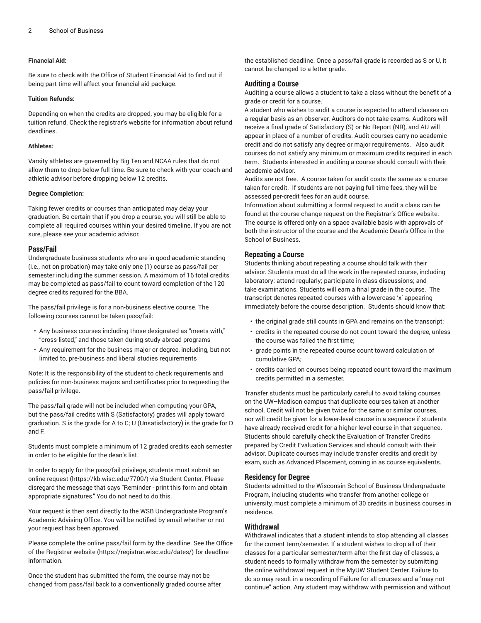#### **Financial Aid:**

Be sure to check with the Office of Student Financial Aid to find out if being part time will affect your financial aid package.

#### **Tuition Refunds:**

Depending on when the credits are dropped, you may be eligible for a tuition refund. Check the registrar's website for information about refund deadlines.

#### **Athletes:**

Varsity athletes are governed by Big Ten and NCAA rules that do not allow them to drop below full time. Be sure to check with your coach and athletic advisor before dropping below 12 credits.

#### **Degree Completion:**

Taking fewer credits or courses than anticipated may delay your graduation. Be certain that if you drop a course, you will still be able to complete all required courses within your desired timeline. If you are not sure, please see your academic advisor.

#### **Pass/Fail**

Undergraduate business students who are in good academic standing (i.e., not on probation) may take only one (1) course as pass/fail per semester including the summer session. A maximum of 16 total credits may be completed as pass/fail to count toward completion of the 120 degree credits required for the BBA.

The pass/fail privilege is for a non-business elective course. The following courses cannot be taken pass/fail:

- Any business courses including those designated as "meets with," "cross-listed," and those taken during study abroad programs
- Any requirement for the business major or degree, including, but not limited to, pre-business and liberal studies requirements

Note: It is the responsibility of the student to check requirements and policies for non-business majors and certificates prior to requesting the pass/fail privilege.

The pass/fail grade will not be included when computing your GPA, but the pass/fail credits with S (Satisfactory) grades will apply toward graduation. S is the grade for A to C; U (Unsatisfactory) is the grade for D and F.

Students must complete a minimum of 12 graded credits each semester in order to be eligible for the dean's list.

In order to apply for the pass/fail privilege, students must submit an online [request](https://kb.wisc.edu/7700/) (<https://kb.wisc.edu/7700/>) via Student Center. Please disregard the message that says "Reminder - print this form and obtain appropriate signatures." You do not need to do this.

Your request is then sent directly to the WSB Undergraduate Program's Academic Advising Office. You will be notified by email whether or not your request has been approved.

Please complete the online pass/fail form by the deadline. See the [Office](https://registrar.wisc.edu/dates/) [of the Registrar website \(https://registrar.wisc.edu/dates/](https://registrar.wisc.edu/dates/)) for deadline information.

Once the student has submitted the form, the course may not be changed from pass/fail back to a conventionally graded course after

the established deadline. Once a pass/fail grade is recorded as S or U, it cannot be changed to a letter grade.

#### **Auditing a Course**

Auditing a course allows a student to take a class without the benefit of a grade or credit for a course.

A student who wishes to audit a course is expected to attend classes on a regular basis as an observer. Auditors do not take exams. Auditors will receive a final grade of Satisfactory (S) or No Report (NR), and AU will appear in place of a number of credits. Audit courses carry no academic credit and do not satisfy any degree or major requirements. Also audit courses do not satisfy any minimum or maximum credits required in each term. Students interested in auditing a course should consult with their academic advisor.

Audits are not free. A course taken for audit costs the same as a course taken for credit. If students are not paying full-time fees, they will be assessed per-credit fees for an audit course.

Information about submitting a formal request to audit a class can be found at the course change request on the Registrar's Office website. The course is offered only on a space available basis with approvals of both the instructor of the course and the Academic Dean's Office in the School of Business.

#### **Repeating a Course**

Students thinking about repeating a course should talk with their advisor. Students must do all the work in the repeated course, including laboratory; attend regularly; participate in class discussions; and take examinations. Students will earn a final grade in the course. The transcript denotes repeated courses with a lowercase 'x' appearing immediately before the course description. Students should know that:

- the original grade still counts in GPA and remains on the transcript;
- credits in the repeated course do not count toward the degree, unless the course was failed the first time;
- grade points in the repeated course count toward calculation of cumulative GPA;
- credits carried on courses being repeated count toward the maximum credits permitted in a semester.

Transfer students must be particularly careful to avoid taking courses on the UW–Madison campus that duplicate courses taken at another school. Credit will not be given twice for the same or similar courses, nor will credit be given for a lower-level course in a sequence if students have already received credit for a higher-level course in that sequence. Students should carefully check the Evaluation of Transfer Credits prepared by Credit Evaluation Services and should consult with their advisor. Duplicate courses may include transfer credits and credit by exam, such as Advanced Placement, coming in as course equivalents.

#### **Residency for Degree**

Students admitted to the Wisconsin School of Business Undergraduate Program, including students who transfer from another college or university, must complete a minimum of 30 credits in business courses in residence.

#### **Withdrawal**

Withdrawal indicates that a student intends to stop attending all classes for the current term/semester. If a student wishes to drop all of their classes for a particular semester/term after the first day of classes, a student needs to formally withdraw from the semester by submitting the online withdrawal request in the MyUW Student Center. Failure to do so may result in a recording of Failure for all courses and a "may not continue" action. Any student may withdraw with permission and without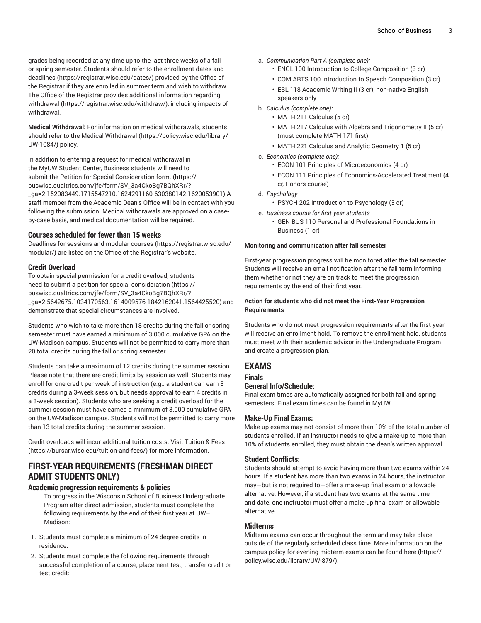grades being recorded at any time up to the last three weeks of a fall or spring semester. Students should refer to the [enrollment](https://registrar.wisc.edu/dates/) dates and [deadlines \(https://registrar.wisc.edu/dates/](https://registrar.wisc.edu/dates/)) provided by the Office of the Registrar if they are enrolled in summer term and wish to withdraw. The Office of the Registrar provides additional information regarding [withdrawal](https://registrar.wisc.edu/withdraw/) [\(https://registrar.wisc.edu/withdraw/\)](https://registrar.wisc.edu/withdraw/), including impacts of withdrawal.

**Medical Withdrawal:** For information on medical withdrawals, students should refer to the [Medical Withdrawal \(https://policy.wisc.edu/library/](https://policy.wisc.edu/library/UW-1084/) [UW-1084/\)](https://policy.wisc.edu/library/UW-1084/) policy.

In addition to entering a request for medical withdrawal in the MyUW Student Center, Business students will need to submit the Petition for Special [Consideration](https://buswisc.qualtrics.com/jfe/form/SV_3a4CkoBg7BQhXRr/?_ga=2.152083449.1715547210.1624291160-630380142.1620053901) form. ([https://](https://buswisc.qualtrics.com/jfe/form/SV_3a4CkoBg7BQhXRr/?_ga=2.152083449.1715547210.1624291160-630380142.1620053901) [buswisc.qualtrics.com/jfe/form/SV\\_3a4CkoBg7BQhXRr/?](https://buswisc.qualtrics.com/jfe/form/SV_3a4CkoBg7BQhXRr/?_ga=2.152083449.1715547210.1624291160-630380142.1620053901) [\\_ga=2.152083449.1715547210.1624291160-630380142.1620053901](https://buswisc.qualtrics.com/jfe/form/SV_3a4CkoBg7BQhXRr/?_ga=2.152083449.1715547210.1624291160-630380142.1620053901)) A staff member from the Academic Dean's Office will be in contact with you following the submission. Medical withdrawals are approved on a caseby-case basis, and medical documentation will be required.

#### **Courses scheduled for fewer than 15 weeks**

Deadlines for sessions and [modular courses](https://registrar.wisc.edu/modular/) ([https://registrar.wisc.edu/](https://registrar.wisc.edu/modular/) [modular/](https://registrar.wisc.edu/modular/)) are listed on the Office of the Registrar's website.

#### **Credit Overload**

To obtain special permission for a credit overload, students need to submit a [petition for special consideration](https://buswisc.qualtrics.com/jfe/form/SV_3a4CkoBg7BQhXRr/?_ga=2.5642675.1034170563.1614009576-1842162041.1564425520) [\(https://](https://buswisc.qualtrics.com/jfe/form/SV_3a4CkoBg7BQhXRr/?_ga=2.5642675.1034170563.1614009576-1842162041.1564425520) [buswisc.qualtrics.com/jfe/form/SV\\_3a4CkoBg7BQhXRr/?](https://buswisc.qualtrics.com/jfe/form/SV_3a4CkoBg7BQhXRr/?_ga=2.5642675.1034170563.1614009576-1842162041.1564425520) [\\_ga=2.5642675.1034170563.1614009576-1842162041.1564425520\)](https://buswisc.qualtrics.com/jfe/form/SV_3a4CkoBg7BQhXRr/?_ga=2.5642675.1034170563.1614009576-1842162041.1564425520) and demonstrate that special circumstances are involved.

Students who wish to take more than 18 credits during the fall or spring semester must have earned a minimum of 3.000 cumulative GPA on the UW-Madison campus. Students will not be permitted to carry more than 20 total credits during the fall or spring semester.

Students can take a maximum of 12 credits during the summer session. Please note that there are credit limits by session as well. Students may enroll for one credit per week of instruction (e.g.: a student can earn 3 credits during a 3-week session, but needs approval to earn 4 credits in a 3-week session). Students who are seeking a credit overload for the summer session must have earned a minimum of 3.000 cumulative GPA on the UW-Madison campus. Students will not be permitted to carry more than 13 total credits during the summer session.

Credit overloads will incur additional tuition costs. Visit [Tuition](https://bursar.wisc.edu/tuition-and-fees/) & Fees ([https://bursar.wisc.edu/tuition-and-fees/\)](https://bursar.wisc.edu/tuition-and-fees/) for more information.

## **FIRST-YEAR REQUIREMENTS (FRESHMAN DIRECT ADMIT STUDENTS ONLY)**

#### **Academic progression requirements & policies**

To progress in the Wisconsin School of Business Undergraduate Program after direct admission, students must complete the following requirements by the end of their first year at UW– Madison:

- 1. Students must complete a minimum of 24 degree credits in residence.
- 2. Students must complete the following requirements through successful completion of a course, placement test, transfer credit or test credit:
- a. *Communication Part A (complete one):*
	- ENGL 100 Introduction to College Composition (3 cr)
	- COM ARTS 100 Introduction to Speech Composition (3 cr)
	- ESL 118 Academic Writing II (3 cr), non-native English speakers only
- b. *Calculus (complete one):*
	- MATH 211 Calculus (5 cr)
	- MATH 217 Calculus with Algebra and Trigonometry II (5 cr) (must complete MATH 171 first)
	- MATH 221 Calculus and Analytic Geometry 1 (5 cr)
- c. *Economics (complete one):*
	- ECON 101 Principles of Microeconomics (4 cr)
	- ECON 111 Principles of Economics-Accelerated Treatment (4 cr, Honors course)
- d. *Psychology*
	- PSYCH 202 Introduction to Psychology (3 cr)
- e. *Business course for first-year students*
	- GEN BUS 110 Personal and Professional Foundations in Business (1 cr)

#### **Monitoring and communication after fall semester**

First-year progression progress will be monitored after the fall semester. Students will receive an email notification after the fall term informing them whether or not they are on track to meet the progression requirements by the end of their first year.

#### **Action for students who did not meet the First-Year Progression Requirements**

Students who do not meet progression requirements after the first year will receive an enrollment hold. To remove the enrollment hold, students must meet with their academic advisor in the Undergraduate Program and create a progression plan.

### **EXAMS**

#### **Finals**

#### **General Info/Schedule:**

Final exam times are automatically assigned for both fall and spring semesters. Final exam times can be found in MyUW.

#### **Make-Up Final Exams:**

Make-up exams may not consist of more than 10% of the total number of students enrolled. If an instructor needs to give a make-up to more than 10% of students enrolled, they must obtain the dean's written approval.

#### **Student Conflicts:**

Students should attempt to avoid having more than two exams within 24 hours. If a student has more than two exams in 24 hours, the instructor may—but is not required to—offer a make-up final exam or allowable alternative. However, if a student has two exams at the same time and date, one instructor must offer a make-up final exam or allowable alternative.

#### **Midterms**

Midterm exams can occur throughout the term and may take place outside of the regularly scheduled class time. More information on the campus policy for evening midterm exams can be found [here](https://policy.wisc.edu/library/UW-879/) ([https://](https://policy.wisc.edu/library/UW-879/) [policy.wisc.edu/library/UW-879/\)](https://policy.wisc.edu/library/UW-879/).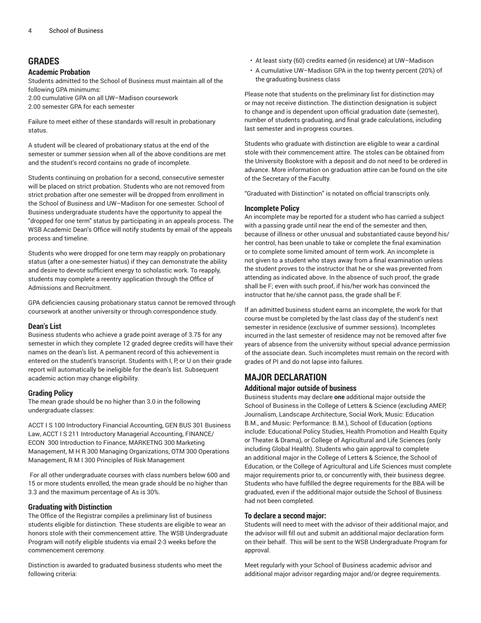### **GRADES**

#### **Academic Probation**

Students admitted to the School of Business must maintain all of the following GPA minimums:

2.00 cumulative GPA on all UW–Madison coursework

2.00 semester GPA for each semester

Failure to meet either of these standards will result in probationary status.

A student will be cleared of probationary status at the end of the semester or summer session when all of the above conditions are met and the student's record contains no grade of incomplete.

Students continuing on probation for a second, consecutive semester will be placed on strict probation. Students who are not removed from strict probation after one semester will be dropped from enrollment in the School of Business and UW–Madison for one semester. School of Business undergraduate students have the opportunity to appeal the "dropped for one term" status by participating in an appeals process. The WSB Academic Dean's Office will notify students by email of the appeals process and timeline.

Students who were dropped for one term may reapply on probationary status (after a one-semester hiatus) if they can demonstrate the ability and desire to devote sufficient energy to scholastic work. To reapply, students may complete a reentry application through the Office of Admissions and Recruitment.

GPA deficiencies causing probationary status cannot be removed through coursework at another university or through correspondence study.

#### **Dean's List**

Business students who achieve a grade point average of 3.75 for any semester in which they complete 12 graded degree credits will have their names on the dean's list. A permanent record of this achievement is entered on the student's transcript. Students with I, P, or U on their grade report will automatically be ineligible for the dean's list. Subsequent academic action may change eligibility.

#### **Grading Policy**

The mean grade should be no higher than 3.0 in the following undergraduate classes:

ACCT I S 100 Introductory Financial Accounting, GEN BUS 301 Business Law, ACCT I S 211 Introductory Managerial Accounting, FINANCE/ ECON 300 Introduction to Finance, MARKETNG 300 Marketing Management, M H R 300 Managing Organizations, OTM 300 Operations Management, R M I 300 Principles of Risk Management

For all other undergraduate courses with class numbers below 600 and 15 or more students enrolled, the mean grade should be no higher than 3.3 and the maximum percentage of As is 30%.

#### **Graduating with Distinction**

The Office of the Registrar compiles a preliminary list of business students eligible for distinction. These students are eligible to wear an honors stole with their commencement attire. The WSB Undergraduate Program will notify eligible students via email 2-3 weeks before the commencement ceremony.

Distinction is awarded to graduated business students who meet the following criteria:

- At least sixty (60) credits earned (in residence) at UW–Madison
- A cumulative UW–Madison GPA in the top twenty percent (20%) of the graduating business class

Please note that students on the preliminary list for distinction may or may not receive distinction. The distinction designation is subject to change and is dependent upon official graduation date (semester), number of students graduating, and final grade calculations, including last semester and in-progress courses.

Students who graduate with distinction are eligible to wear a cardinal stole with their commencement attire. The stoles can be obtained from the University Bookstore with a deposit and do not need to be ordered in advance. More information on graduation attire can be found on the site of the Secretary of the Faculty.

"Graduated with Distinction" is notated on official transcripts only.

#### **Incomplete Policy**

An incomplete may be reported for a student who has carried a subject with a passing grade until near the end of the semester and then, because of illness or other unusual and substantiated cause beyond his/ her control, has been unable to take or complete the final examination or to complete some limited amount of term work. An incomplete is not given to a student who stays away from a final examination unless the student proves to the instructor that he or she was prevented from attending as indicated above. In the absence of such proof, the grade shall be F; even with such proof, if his/her work has convinced the instructor that he/she cannot pass, the grade shall be F.

If an admitted business student earns an incomplete, the work for that course must be completed by the last class day of the student's next semester in residence (exclusive of summer sessions). Incompletes incurred in the last semester of residence may not be removed after five years of absence from the university without special advance permission of the associate dean. Such incompletes must remain on the record with grades of PI and do not lapse into failures.

## **MAJOR DECLARATION**

#### **Additional major outside of business**

Business students may declare **one** additional major outside the School of Business in the College of Letters & Science (excluding AMEP, Journalism, Landscape Architecture, Social Work, Music: Education B.M., and Music: Performance: B.M.), School of Education (options include: Educational Policy Studies, Health Promotion and Health Equity or Theater & Drama), or College of Agricultural and Life Sciences (only including Global Health). Students who gain approval to complete an additional major in the College of Letters & Science, the School of Education, or the College of Agricultural and Life Sciences must complete major requirements prior to, or concurrently with, their business degree. Students who have fulfilled the degree requirements for the BBA will be graduated, even if the additional major outside the School of Business had not been completed.

#### **To declare a second major:**

Students will need to meet with the advisor of their additional major, and the advisor will fill out and submit an additional major declaration form on their behalf. This will be sent to the WSB Undergraduate Program for approval.

Meet regularly with your School of Business academic advisor and additional major advisor regarding major and/or degree requirements.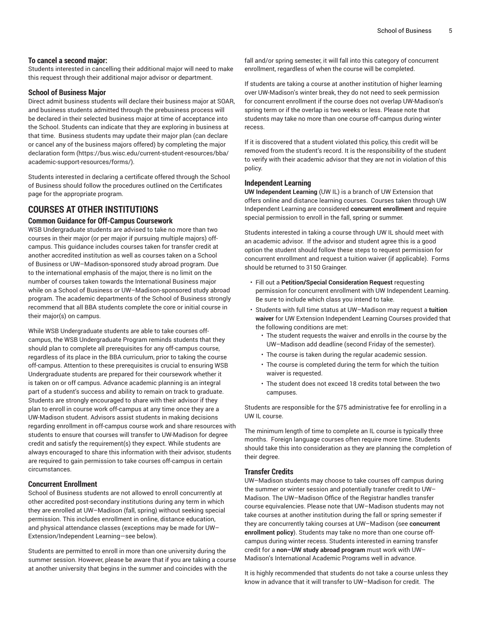#### **To cancel a second major:**

Students interested in cancelling their additional major will need to make this request through their additional major advisor or department.

#### **School of Business Major**

Direct admit business students will declare their business major at SOAR, and business students admitted through the prebusiness process will be declared in their selected business major at time of acceptance into the School. Students can indicate that they are exploring in business at that time. Business students may update their major plan (can declare or cancel any of the business majors offered) by completing the [major](https://bus.wisc.edu/current-student-resources/bba/academic-support-resources/forms/) [declaration form](https://bus.wisc.edu/current-student-resources/bba/academic-support-resources/forms/) [\(https://bus.wisc.edu/current-student-resources/bba/](https://bus.wisc.edu/current-student-resources/bba/academic-support-resources/forms/) [academic-support-resources/forms/\)](https://bus.wisc.edu/current-student-resources/bba/academic-support-resources/forms/).

Students interested in declaring a certificate offered through the School of Business should follow the procedures outlined on the Certificates page for the appropriate program.

## **COURSES AT OTHER INSTITUTIONS**

#### **Common Guidance for Off-Campus Coursework**

WSB Undergraduate students are advised to take no more than two courses in their major (or per major if pursuing multiple majors) offcampus. This guidance includes courses taken for transfer credit at another accredited institution as well as courses taken on a School of Business or UW–Madison-sponsored study abroad program. Due to the international emphasis of the major, there is no limit on the number of courses taken towards the International Business major while on a School of Business or UW–Madison-sponsored study abroad program. The academic departments of the School of Business strongly recommend that all BBA students complete the core or initial course in their major(s) on campus.

While WSB Undergraduate students are able to take courses offcampus, the WSB Undergraduate Program reminds students that they should plan to complete all prerequisites for any off-campus course, regardless of its place in the BBA curriculum, prior to taking the course off-campus. Attention to these prerequisites is crucial to ensuring WSB Undergraduate students are prepared for their coursework whether it is taken on or off campus. Advance academic planning is an integral part of a student's success and ability to remain on track to graduate. Students are strongly encouraged to share with their advisor if they plan to enroll in course work off-campus at any time once they are a UW-Madison student. Advisors assist students in making decisions regarding enrollment in off-campus course work and share resources with students to ensure that courses will transfer to UW-Madison for degree credit and satisfy the requirement(s) they expect. While students are always encouraged to share this information with their advisor, students are required to gain permission to take courses off-campus in certain circumstances.

#### **Concurrent Enrollment**

School of Business students are not allowed to enroll concurrently at other accredited post-secondary institutions during any term in which they are enrolled at UW–Madison (fall, spring) without seeking special permission. This includes enrollment in online, distance education, and physical attendance classes (exceptions may be made for UW– Extension/Independent Learning—see below).

Students are permitted to enroll in more than one university during the summer session. However, please be aware that if you are taking a course at another university that begins in the summer and coincides with the

fall and/or spring semester, it will fall into this category of concurrent enrollment, regardless of when the course will be completed.

If students are taking a course at another institution of higher learning over UW-Madison's winter break, they do not need to seek permission for concurrent enrollment if the course does not overlap UW-Madison's spring term or if the overlap is two weeks or less. Please note that students may take no more than one course off-campus during winter recess.

If it is discovered that a student violated this policy, this credit will be removed from the student's record. It is the responsibility of the student to verify with their academic advisor that they are not in violation of this policy.

#### **Independent Learning**

**UW Independent Learning** (UW IL) is a branch of UW Extension that offers online and distance learning courses. Courses taken through UW Independent Learning are considered **concurrent enrollment** and require special permission to enroll in the fall, spring or summer.

Students interested in taking a course through UW IL should meet with an academic advisor. If the advisor and student agree this is a good option the student should follow these steps to request permission for concurrent enrollment and request a tuition waiver (if applicable). Forms should be returned to 3150 Grainger.

- Fill out a **Petition/Special Consideration Request** requesting permission for concurrent enrollment with UW Independent Learning. Be sure to include which class you intend to take.
- Students with full time status at UW–Madison may request a **tuition waiver** for UW Extension Independent Learning Courses provided that the following conditions are met:
	- The student requests the waiver and enrolls in the course by the UW–Madison add deadline (second Friday of the semester).
	- The course is taken during the regular academic session.
	- The course is completed during the term for which the tuition waiver is requested.
	- The student does not exceed 18 credits total between the two campuses.

Students are responsible for the \$75 administrative fee for enrolling in a UW IL course.

The minimum length of time to complete an IL course is typically three months. Foreign language courses often require more time. Students should take this into consideration as they are planning the completion of their degree.

#### **Transfer Credits**

UW–Madison students may choose to take courses off campus during the summer or winter session and potentially transfer credit to UW– Madison. The UW–Madison Office of the Registrar handles transfer course equivalencies. Please note that UW–Madison students may not take courses at another institution during the fall or spring semester if they are concurrently taking courses at UW–Madison (see **concurrent enrollment policy**). Students may take no more than one course offcampus during winter recess. Students interested in earning transfer credit for a **non–UW study abroad program** must work with UW– Madison's International Academic Programs well in advance.

It is highly recommended that students do not take a course unless they know in advance that it will transfer to UW–Madison for credit. The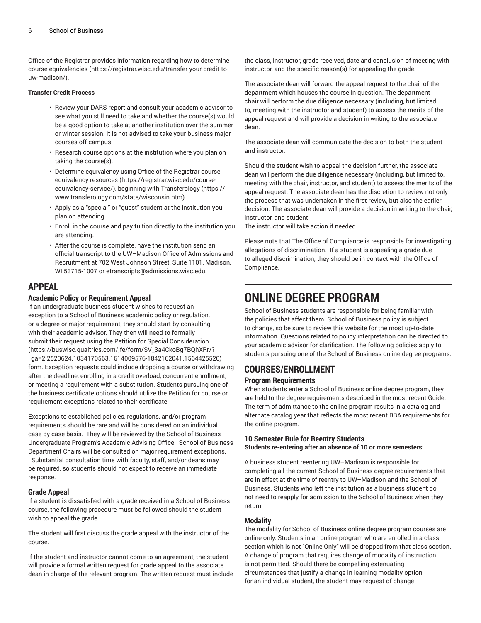Office of the Registrar provides information regarding [how to determine](https://registrar.wisc.edu/transfer-your-credit-to-uw-madison/) course [equivalencies \(https://registrar.wisc.edu/transfer-your-credit-to](https://registrar.wisc.edu/transfer-your-credit-to-uw-madison/)[uw-madison/](https://registrar.wisc.edu/transfer-your-credit-to-uw-madison/)).

#### **Transfer Credit Process**

- Review your DARS report and consult your academic advisor to see what you still need to take and whether the course(s) would be a good option to take at another institution over the summer or winter session. It is not advised to take your business major courses off campus.
- Research course options at the institution where you plan on taking the course(s).
- Determine equivalency using [Office of the Registrar course](https://registrar.wisc.edu/course-equivalency-service/) [equivalency](https://registrar.wisc.edu/course-equivalency-service/) resources ([https://registrar.wisc.edu/course](https://registrar.wisc.edu/course-equivalency-service/)[equivalency-service/\)](https://registrar.wisc.edu/course-equivalency-service/), beginning with [Transferology](https://www.transferology.com/state/wisconsin.htm) [\(https://](https://www.transferology.com/state/wisconsin.htm) [www.transferology.com/state/wisconsin.htm\)](https://www.transferology.com/state/wisconsin.htm).
- Apply as a "special" or "guest" student at the institution you plan on attending.
- Enroll in the course and pay tuition directly to the institution you are attending.
- After the course is complete, have the institution send an official transcript to the UW–Madison Office of Admissions and Recruitment at 702 West Johnson Street, Suite 1101, Madison, WI 53715-1007 or [etranscripts@admissions.wisc.edu](mailto:etranscripts@admissions.wisc.edu).

## **APPEAL**

#### **Academic Policy or Requirement Appeal**

If an undergraduate business student wishes to request an exception to a School of Business academic policy or regulation, or a degree or major requirement, they should start by consulting with their academic advisor. They then will need to formally submit their request using the Petition for Special [Consideration](https://buswisc.qualtrics.com/jfe/form/SV_3a4CkoBg7BQhXRr/?_ga=2.2520624.1034170563.1614009576-1842162041.1564425520) ([https://buswisc.qualtrics.com/jfe/form/SV\\_3a4CkoBg7BQhXRr/?](https://buswisc.qualtrics.com/jfe/form/SV_3a4CkoBg7BQhXRr/?_ga=2.2520624.1034170563.1614009576-1842162041.1564425520) [\\_ga=2.2520624.1034170563.1614009576-1842162041.1564425520\)](https://buswisc.qualtrics.com/jfe/form/SV_3a4CkoBg7BQhXRr/?_ga=2.2520624.1034170563.1614009576-1842162041.1564425520) form. Exception requests could include dropping a course or withdrawing after the deadline, enrolling in a credit overload, concurrent enrollment, or meeting a requirement with a substitution. Students pursuing one of the business certificate options should utilize the Petition for course or requirement exceptions related to their certificate.

Exceptions to established policies, regulations, and/or program requirements should be rare and will be considered on an individual case by case basis. They will be reviewed by the School of Business Undergraduate Program's Academic Advising Office. School of Business Department Chairs will be consulted on major requirement exceptions.

Substantial consultation time with faculty, staff, and/or deans may be required, so students should not expect to receive an immediate response.

#### **Grade Appeal**

If a student is dissatisfied with a grade received in a School of Business course, the following procedure must be followed should the student wish to appeal the grade.

The student will first discuss the grade appeal with the instructor of the course.

If the student and instructor cannot come to an agreement, the student will provide a formal written request for grade appeal to the associate dean in charge of the relevant program. The written request must include the class, instructor, grade received, date and conclusion of meeting with instructor, and the specific reason(s) for appealing the grade.

The associate dean will forward the appeal request to the chair of the department which houses the course in question. The department chair will perform the due diligence necessary (including, but limited to, meeting with the instructor and student) to assess the merits of the appeal request and will provide a decision in writing to the associate dean.

The associate dean will communicate the decision to both the student and instructor.

Should the student wish to appeal the decision further, the associate dean will perform the due diligence necessary (including, but limited to, meeting with the chair, instructor, and student) to assess the merits of the appeal request. The associate dean has the discretion to review not only the process that was undertaken in the first review, but also the earlier decision. The associate dean will provide a decision in writing to the chair, instructor, and student.

The instructor will take action if needed.

Please note that The Office of Compliance is responsible for investigating allegations of discrimination. If a student is appealing a grade due to alleged discrimination, they should be in contact with the Office of Compliance.

## **ONLINE DEGREE PROGRAM**

School of Business students are responsible for being familiar with the policies that affect them. School of Business policy is subject to change, so be sure to review this website for the most up-to-date information. Questions related to policy interpretation can be directed to your academic advisor for clarification. The following policies apply to students pursuing one of the School of Business online degree programs.

## **COURSES/ENROLLMENT**

#### **Program Requirements**

When students enter a School of Business online degree program, they are held to the degree requirements described in the most recent Guide. The term of admittance to the online program results in a catalog and alternate catalog year that reflects the most recent BBA requirements for the online program.

#### **10 Semester Rule for Reentry Students**

**Students re-entering after an absence of 10 or more semesters:**

A business student reentering UW–Madison is responsible for completing all the current School of Business degree requirements that are in effect at the time of reentry to UW–Madison and the School of Business. Students who left the institution as a business student do not need to reapply for admission to the School of Business when they return.

#### **Modality**

The modality for School of Business online degree program courses are online only. Students in an online program who are enrolled in a class section which is not "Online Only" will be dropped from that class section. A change of program that requires change of modality of instruction is not permitted. Should there be compelling extenuating circumstances that justify a change in learning modality option for an individual student, the student may request of change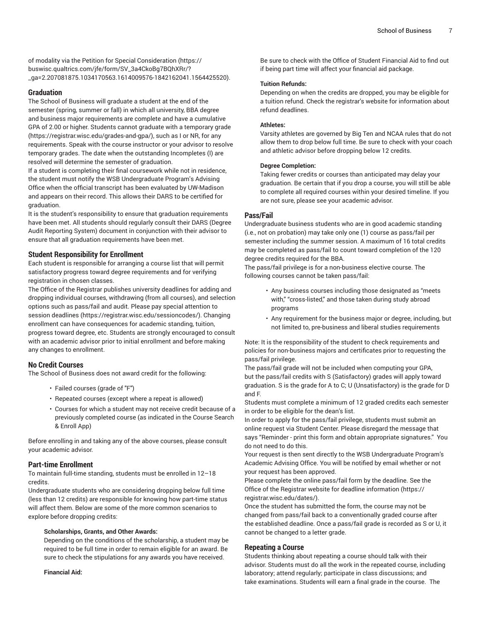of modality via the Petition for Special [Consideration \(https://](https://buswisc.qualtrics.com/jfe/form/SV_3a4CkoBg7BQhXRr/?_ga=2.207081875.1034170563.1614009576-1842162041.1564425520) [buswisc.qualtrics.com/jfe/form/SV\\_3a4CkoBg7BQhXRr/?](https://buswisc.qualtrics.com/jfe/form/SV_3a4CkoBg7BQhXRr/?_ga=2.207081875.1034170563.1614009576-1842162041.1564425520) [\\_ga=2.207081875.1034170563.1614009576-1842162041.1564425520\)](https://buswisc.qualtrics.com/jfe/form/SV_3a4CkoBg7BQhXRr/?_ga=2.207081875.1034170563.1614009576-1842162041.1564425520).

#### **Graduation**

The School of Business will graduate a student at the end of the semester (spring, summer or fall) in which all university, BBA degree and business major requirements are complete and have a cumulative GPA of 2.00 or higher. Students cannot graduate with a [temporary](https://registrar.wisc.edu/grades-and-gpa/) grade (<https://registrar.wisc.edu/grades-and-gpa/>), such as I or NR, for any requirements. Speak with the course instructor or your advisor to resolve temporary grades. The date when the outstanding Incompletes (I) are resolved will determine the semester of graduation.

If a student is completing their final coursework while not in residence, the student must notify the WSB Undergraduate Program's Advising Office when the official transcript has been evaluated by UW-Madison and appears on their record. This allows their DARS to be certified for graduation.

It is the student's responsibility to ensure that graduation requirements have been met. All students should regularly consult their DARS (Degree Audit Reporting System) document in conjunction with their advisor to ensure that all graduation requirements have been met.

#### **Student Responsibility for Enrollment**

Each student is responsible for arranging a course list that will permit satisfactory progress toward degree requirements and for verifying registration in chosen classes.

The Office of the Registrar publishes university deadlines for adding and dropping individual courses, withdrawing (from all courses), and selection options such as pass/fail and audit. Please pay special attention to [session deadlines](https://registrar.wisc.edu/sessioncodes/) [\(https://registrar.wisc.edu/sessioncodes/](https://registrar.wisc.edu/sessioncodes/)). Changing enrollment can have consequences for academic standing, tuition, progress toward degree, etc. Students are strongly encouraged to consult with an academic advisor prior to initial enrollment and before making any changes to enrollment.

#### **No Credit Courses**

The School of Business does not award credit for the following:

- Failed courses (grade of "F")
- Repeated courses (except where a repeat is allowed)
- Courses for which a student may not receive credit because of a previously completed course (as indicated in the Course Search & Enroll App)

Before enrolling in and taking any of the above courses, please consult your academic advisor.

#### **Part-time Enrollment**

To maintain full-time standing, students must be enrolled in 12–18 credits.

Undergraduate students who are considering dropping below full time (less than 12 credits) are responsible for knowing how part-time status will affect them. Below are some of the more common scenarios to explore before dropping credits:

#### **Scholarships, Grants, and Other Awards:**

Depending on the conditions of the scholarship, a student may be required to be full time in order to remain eligible for an award. Be sure to check the stipulations for any awards you have received.

**Financial Aid:**

Be sure to check with the Office of Student Financial Aid to find out if being part time will affect your financial aid package.

#### **Tuition Refunds:**

Depending on when the credits are dropped, you may be eligible for a tuition refund. Check the registrar's website for information about refund deadlines.

#### **Athletes:**

Varsity athletes are governed by Big Ten and NCAA rules that do not allow them to drop below full time. Be sure to check with your coach and athletic advisor before dropping below 12 credits.

#### **Degree Completion:**

Taking fewer credits or courses than anticipated may delay your graduation. Be certain that if you drop a course, you will still be able to complete all required courses within your desired timeline. If you are not sure, please see your academic advisor.

#### **Pass/Fail**

Undergraduate business students who are in good academic standing (i.e., not on probation) may take only one (1) course as pass/fail per semester including the summer session. A maximum of 16 total credits may be completed as pass/fail to count toward completion of the 120 degree credits required for the BBA.

The pass/fail privilege is for a non-business elective course. The following courses cannot be taken pass/fail:

- Any business courses including those designated as "meets with," "cross-listed," and those taken during study abroad programs
- Any requirement for the business major or degree, including, but not limited to, pre-business and liberal studies requirements

Note: It is the responsibility of the student to check requirements and policies for non-business majors and certificates prior to requesting the pass/fail privilege.

The pass/fail grade will not be included when computing your GPA, but the pass/fail credits with S (Satisfactory) grades will apply toward graduation. S is the grade for A to C; U (Unsatisfactory) is the grade for D and F.

Students must complete a minimum of 12 graded credits each semester in order to be eligible for the dean's list.

In order to apply for the pass/fail privilege, students must submit an online request via Student Center. Please disregard the message that says "Reminder - print this form and obtain appropriate signatures." You do not need to do this.

Your request is then sent directly to the WSB Undergraduate Program's Academic Advising Office. You will be notified by email whether or not your request has been approved.

Please complete the online pass/fail form by the deadline. See the Office of the Registrar [website for deadline information](https://registrar.wisc.edu/dates/) [\(https://](https://registrar.wisc.edu/dates/) [registrar.wisc.edu/dates/\)](https://registrar.wisc.edu/dates/).

Once the student has submitted the form, the course may not be changed from pass/fail back to a conventionally graded course after the established deadline. Once a pass/fail grade is recorded as S or U, it cannot be changed to a letter grade.

#### **Repeating a Course**

Students thinking about repeating a course should talk with their advisor. Students must do all the work in the repeated course, including laboratory; attend regularly; participate in class discussions; and take examinations. Students will earn a final grade in the course. The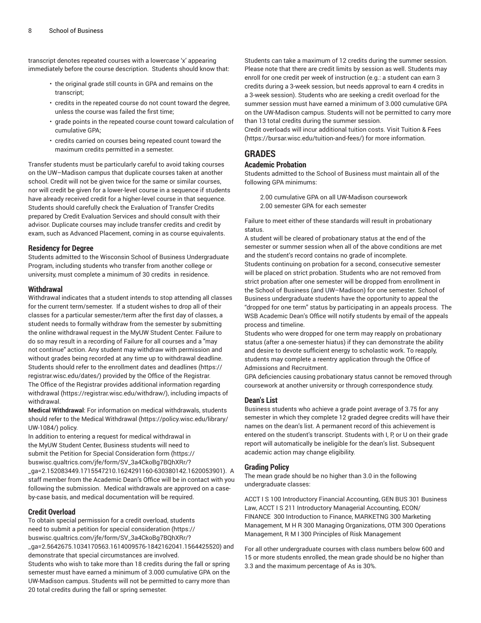transcript denotes repeated courses with a lowercase 'x' appearing immediately before the course description. Students should know that:

- the original grade still counts in GPA and remains on the transcript;
- credits in the repeated course do not count toward the degree, unless the course was failed the first time;
- grade points in the repeated course count toward calculation of cumulative GPA;
- credits carried on courses being repeated count toward the maximum credits permitted in a semester.

Transfer students must be particularly careful to avoid taking courses on the UW–Madison campus that duplicate courses taken at another school. Credit will not be given twice for the same or similar courses, nor will credit be given for a lower-level course in a sequence if students have already received credit for a higher-level course in that sequence. Students should carefully check the Evaluation of Transfer Credits prepared by Credit Evaluation Services and should consult with their advisor. Duplicate courses may include transfer credits and credit by exam, such as Advanced Placement, coming in as course equivalents.

#### **Residency for Degree**

Students admitted to the Wisconsin School of Business Undergraduate Program, including students who transfer from another college or university, must complete a minimum of 30 credits in residence.

#### **Withdrawal**

Withdrawal indicates that a student intends to stop attending all classes for the current term/semester. If a student wishes to drop all of their classes for a particular semester/term after the first day of classes, a student needs to formally withdraw from the semester by submitting the online withdrawal request in the MyUW Student Center. Failure to do so may result in a recording of Failure for all courses and a "may not continue" action. Any student may withdraw with permission and without grades being recorded at any time up to withdrawal deadline. Students should refer to the [enrollment](https://registrar.wisc.edu/dates/) dates and deadlines ([https://](https://registrar.wisc.edu/dates/) [registrar.wisc.edu/dates/](https://registrar.wisc.edu/dates/)) provided by the Office of the Registrar. The Office of the Registrar provides additional information regarding [withdrawal](https://registrar.wisc.edu/withdraw/) [\(https://registrar.wisc.edu/withdraw/\)](https://registrar.wisc.edu/withdraw/), including impacts of withdrawal.

**Medical Withdrawal**: For information on medical withdrawals, students should refer to the [Medical Withdrawal \(https://policy.wisc.edu/library/](https://policy.wisc.edu/library/UW-1084/) [UW-1084/\)](https://policy.wisc.edu/library/UW-1084/) policy.

In addition to entering a request for medical withdrawal in the MyUW Student Center, Business students will need to submit the Petition for Special [Consideration](https://buswisc.qualtrics.com/jfe/form/SV_3a4CkoBg7BQhXRr/?_ga=2.152083449.1715547210.1624291160-630380142.1620053901) form ([https://](https://buswisc.qualtrics.com/jfe/form/SV_3a4CkoBg7BQhXRr/?_ga=2.152083449.1715547210.1624291160-630380142.1620053901) [buswisc.qualtrics.com/jfe/form/SV\\_3a4CkoBg7BQhXRr/?](https://buswisc.qualtrics.com/jfe/form/SV_3a4CkoBg7BQhXRr/?_ga=2.152083449.1715547210.1624291160-630380142.1620053901) [\\_ga=2.152083449.1715547210.1624291160-630380142.1620053901](https://buswisc.qualtrics.com/jfe/form/SV_3a4CkoBg7BQhXRr/?_ga=2.152083449.1715547210.1624291160-630380142.1620053901)). A staff member from the Academic Dean's Office will be in contact with you following the submission. Medical withdrawals are approved on a caseby-case basis, and medical documentation will be required.

#### **Credit Overload**

To obtain special permission for a credit overload, students need to submit a [petition for special consideration](https://buswisc.qualtrics.com/jfe/form/SV_3a4CkoBg7BQhXRr/?_ga=2.5642675.1034170563.1614009576-1842162041.1564425520) [\(https://](https://buswisc.qualtrics.com/jfe/form/SV_3a4CkoBg7BQhXRr/?_ga=2.5642675.1034170563.1614009576-1842162041.1564425520) [buswisc.qualtrics.com/jfe/form/SV\\_3a4CkoBg7BQhXRr/?](https://buswisc.qualtrics.com/jfe/form/SV_3a4CkoBg7BQhXRr/?_ga=2.5642675.1034170563.1614009576-1842162041.1564425520) [\\_ga=2.5642675.1034170563.1614009576-1842162041.1564425520\)](https://buswisc.qualtrics.com/jfe/form/SV_3a4CkoBg7BQhXRr/?_ga=2.5642675.1034170563.1614009576-1842162041.1564425520) and demonstrate that special circumstances are involved.

Students who wish to take more than 18 credits during the fall or spring semester must have earned a minimum of 3.000 cumulative GPA on the UW-Madison campus. Students will not be permitted to carry more than 20 total credits during the fall or spring semester.

Students can take a maximum of 12 credits during the summer session. Please note that there are credit limits by session as well. Students may enroll for one credit per week of instruction (e.g.: a student can earn 3 credits during a 3-week session, but needs approval to earn 4 credits in a 3-week session). Students who are seeking a credit overload for the summer session must have earned a minimum of 3.000 cumulative GPA on the UW-Madison campus. Students will not be permitted to carry more than 13 total credits during the summer session.

Credit overloads will incur additional tuition costs. Visit [Tuition](https://bursar.wisc.edu/tuition-and-fees/) & Fees [\(https://bursar.wisc.edu/tuition-and-fees/\)](https://bursar.wisc.edu/tuition-and-fees/) for more information.

## **GRADES**

#### **Academic Probation**

Students admitted to the School of Business must maintain all of the following GPA minimums:

2.00 cumulative GPA on all UW-Madison coursework 2.00 semester GPA for each semester

Failure to meet either of these standards will result in probationary status.

A student will be cleared of probationary status at the end of the semester or summer session when all of the above conditions are met and the student's record contains no grade of incomplete. Students continuing on probation for a second, consecutive semester will be placed on strict probation. Students who are not removed from strict probation after one semester will be dropped from enrollment in the School of Business (and UW–Madison) for one semester. School of Business undergraduate students have the opportunity to appeal the "dropped for one term" status by participating in an appeals process. The WSB Academic Dean's Office will notify students by email of the appeals process and timeline.

Students who were dropped for one term may reapply on probationary status (after a one-semester hiatus) if they can demonstrate the ability and desire to devote sufficient energy to scholastic work. To reapply, students may complete a reentry application through the Office of Admissions and Recruitment.

GPA deficiencies causing probationary status cannot be removed through coursework at another university or through correspondence study.

#### **Dean's List**

Business students who achieve a grade point average of 3.75 for any semester in which they complete 12 graded degree credits will have their names on the dean's list. A permanent record of this achievement is entered on the student's transcript. Students with I, P, or U on their grade report will automatically be ineligible for the dean's list. Subsequent academic action may change eligibility.

#### **Grading Policy**

The mean grade should be no higher than 3.0 in the following undergraduate classes:

ACCT I S 100 Introductory Financial Accounting, GEN BUS 301 Business Law, ACCT I S 211 Introductory Managerial Accounting, ECON/ FINANCE 300 Introduction to Finance, MARKETNG 300 Marketing Management, M H R 300 Managing Organizations, OTM 300 Operations Management, R M I 300 Principles of Risk Management

For all other undergraduate courses with class numbers below 600 and 15 or more students enrolled, the mean grade should be no higher than 3.3 and the maximum percentage of As is 30%.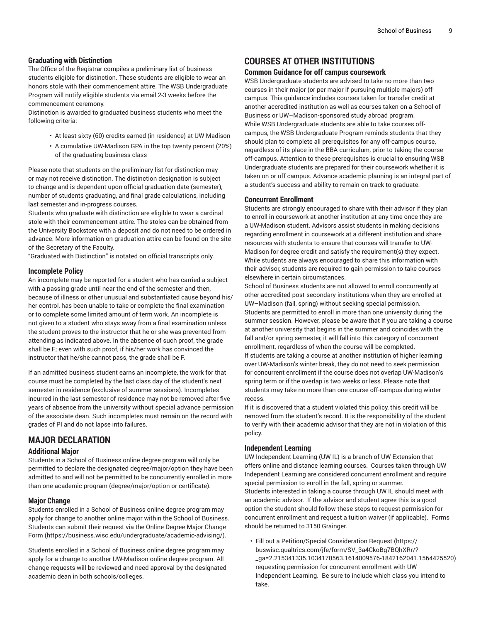#### **Graduating with Distinction**

The Office of the Registrar compiles a preliminary list of business students eligible for distinction. These students are eligible to wear an honors stole with their commencement attire. The WSB Undergraduate Program will notify eligible students via email 2-3 weeks before the commencement ceremony.

Distinction is awarded to graduated business students who meet the following criteria:

- At least sixty (60) credits earned (in residence) at UW-Madison
- A cumulative UW-Madison GPA in the top twenty percent (20%) of the graduating business class

Please note that students on the preliminary list for distinction may or may not receive distinction. The distinction designation is subject to change and is dependent upon official graduation date (semester), number of students graduating, and final grade calculations, including last semester and in-progress courses.

Students who graduate with distinction are eligible to wear a cardinal stole with their commencement attire. The stoles can be obtained from the University Bookstore with a deposit and do not need to be ordered in advance. More information on graduation attire can be found on the site of the Secretary of the Faculty.

"Graduated with Distinction" is notated on official transcripts only.

#### **Incomplete Policy**

An incomplete may be reported for a student who has carried a subject with a passing grade until near the end of the semester and then, because of illness or other unusual and substantiated cause beyond his/ her control, has been unable to take or complete the final examination or to complete some limited amount of term work. An incomplete is not given to a student who stays away from a final examination unless the student proves to the instructor that he or she was prevented from attending as indicated above. In the absence of such proof, the grade shall be F; even with such proof, if his/her work has convinced the instructor that he/she cannot pass, the grade shall be F.

If an admitted business student earns an incomplete, the work for that course must be completed by the last class day of the student's next semester in residence (exclusive of summer sessions). Incompletes incurred in the last semester of residence may not be removed after five years of absence from the university without special advance permission of the associate dean. Such incompletes must remain on the record with grades of PI and do not lapse into failures.

## **MAJOR DECLARATION**

#### **Additional Major**

Students in a School of Business online degree program will only be permitted to declare the designated degree/major/option they have been admitted to and will not be permitted to be concurrently enrolled in more than one academic program (degree/major/option or certificate).

#### **Major Change**

Students enrolled in a School of Business online degree program may apply for change to another online major within the School of Business. Students can submit their request via the Online Degree Major [Change](https://business.wisc.edu/undergraduate/academic-advising/) [Form \(https://business.wisc.edu/undergraduate/academic-advising/](https://business.wisc.edu/undergraduate/academic-advising/)).

Students enrolled in a School of Business online degree program may apply for a change to another UW-Madison online degree program. All change requests will be reviewed and need approval by the designated academic dean in both schools/colleges.

### **COURSES AT OTHER INSTITUTIONS**

#### **Common Guidance for off campus coursework**

WSB Undergraduate students are advised to take no more than two courses in their major (or per major if pursuing multiple majors) offcampus. This guidance includes courses taken for transfer credit at another accredited institution as well as courses taken on a School of Business or UW–Madison-sponsored study abroad program. While WSB Undergraduate students are able to take courses offcampus, the WSB Undergraduate Program reminds students that they should plan to complete all prerequisites for any off-campus course, regardless of its place in the BBA curriculum, prior to taking the course off-campus. Attention to these prerequisites is crucial to ensuring WSB Undergraduate students are prepared for their coursework whether it is taken on or off campus. Advance academic planning is an integral part of a student's success and ability to remain on track to graduate.

#### **Concurrent Enrollment**

Students are strongly encouraged to share with their advisor if they plan to enroll in coursework at another institution at any time once they are a UW-Madison student. Advisors assist students in making decisions regarding enrollment in coursework at a different institution and share resources with students to ensure that courses will transfer to UW-Madison for degree credit and satisfy the requirement(s) they expect. While students are always encouraged to share this information with their advisor, students are required to gain permission to take courses elsewhere in certain circumstances.

School of Business students are not allowed to enroll concurrently at other accredited post-secondary institutions when they are enrolled at UW–Madison (fall, spring) without seeking special permission. Students are permitted to enroll in more than one university during the summer session. However, please be aware that if you are taking a course at another university that begins in the summer and coincides with the fall and/or spring semester, it will fall into this category of concurrent enrollment, regardless of when the course will be completed. If students are taking a course at another institution of higher learning over UW-Madison's winter break, they do not need to seek permission for concurrent enrollment if the course does not overlap UW-Madison's spring term or if the overlap is two weeks or less. Please note that students may take no more than one course off-campus during winter recess.

If it is discovered that a student violated this policy, this credit will be removed from the student's record. It is the responsibility of the student to verify with their academic advisor that they are not in violation of this policy.

#### **Independent Learning**

UW Independent Learning (UW IL) is a branch of UW Extension that offers online and distance learning courses. Courses taken through UW Independent Learning are considered concurrent enrollment and require special permission to enroll in the fall, spring or summer. Students interested in taking a course through UW IL should meet with an academic advisor. If the advisor and student agree this is a good option the student should follow these steps to request permission for concurrent enrollment and request a tuition waiver (if applicable). Forms should be returned to 3150 Grainger.

• Fill out a [Petition/Special](https://buswisc.qualtrics.com/jfe/form/SV_3a4CkoBg7BQhXRr/?_ga=2.215341335.1034170563.1614009576-1842162041.1564425520) Consideration Request [\(https://](https://buswisc.qualtrics.com/jfe/form/SV_3a4CkoBg7BQhXRr/?_ga=2.215341335.1034170563.1614009576-1842162041.1564425520) [buswisc.qualtrics.com/jfe/form/SV\\_3a4CkoBg7BQhXRr/?](https://buswisc.qualtrics.com/jfe/form/SV_3a4CkoBg7BQhXRr/?_ga=2.215341335.1034170563.1614009576-1842162041.1564425520) [\\_ga=2.215341335.1034170563.1614009576-1842162041.1564425520](https://buswisc.qualtrics.com/jfe/form/SV_3a4CkoBg7BQhXRr/?_ga=2.215341335.1034170563.1614009576-1842162041.1564425520)) requesting permission for concurrent enrollment with UW Independent Learning. Be sure to include which class you intend to take.